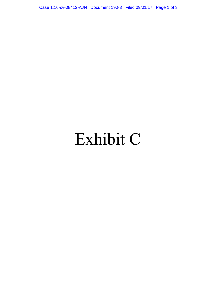Case 1:16-cv-08412-AJN Document 190-3 Filed 09/01/17 Page 1 of 3

## Exhibit C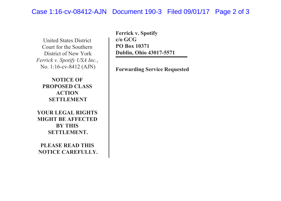## Case 1:16-cv-08412-AJN Document 190-3 Filed 09/01/17 Page 2 of 3

United States District Court for the Southern District of New York *Ferrick v. Spotify USA Inc.*, No. 1:16-cv-8412 (AJN)

**NOTICE OF PROPOSED CLASS ACTION SETTLEMENT**

**YOUR LEGAL RIGHTS MIGHT BE AFFECTED BY THIS SETTLEMENT.**

**PLEASE READ THIS NOTICE CAREFULLY.** **Ferrick v. Spotify c/o GCG PO Box 10371 Dublin, Ohio 43017-5571**

**Forwarding Service Requested**